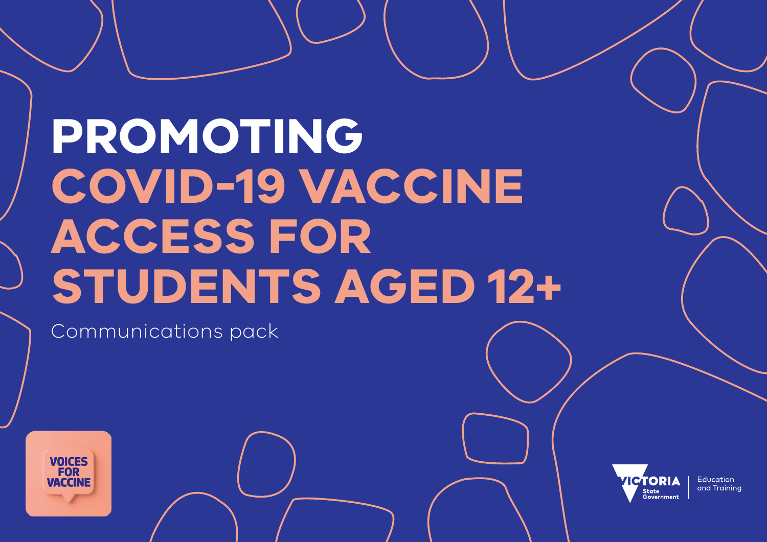# **PROMOTING COVID-19 VACCINE ACCESS FOR STUDENTS AGED 12+**

Communications pack



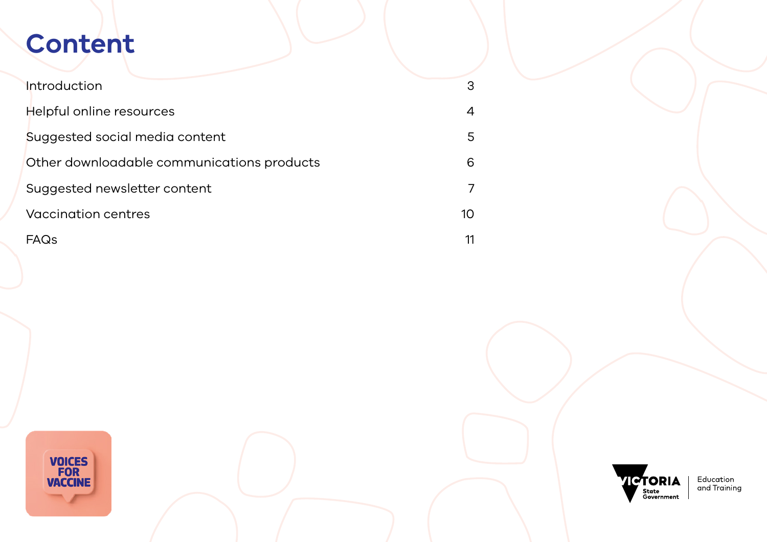## **Content**

| <b>Introduction</b>                        | 3  |
|--------------------------------------------|----|
| Helpful online resources                   | 4  |
| Suggested social media content             | 5  |
| Other downloadable communications products | 6  |
| Suggested newsletter content               |    |
| Vaccination centres                        | 10 |
| FAQs                                       |    |



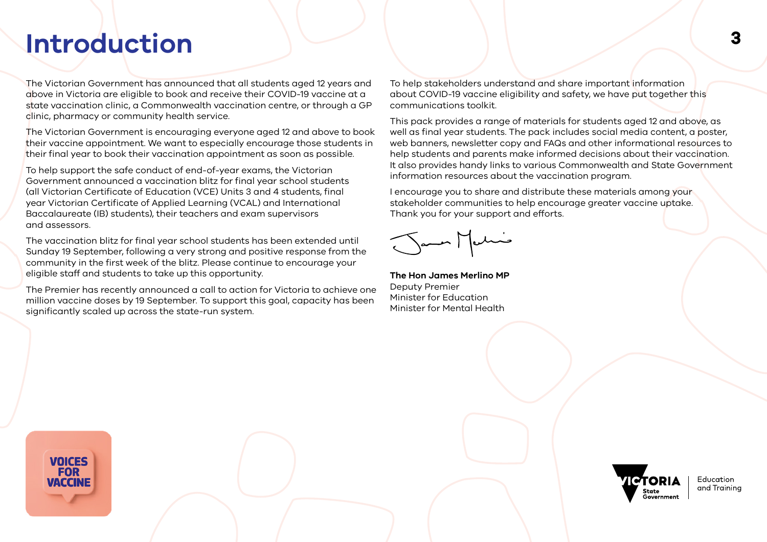## <span id="page-2-0"></span>**<sup>3</sup> Introduction**

The Victorian Government has announced that all students aged 12 years and above in Victoria are eligible to book and receive their COVID-19 vaccine at a state vaccination clinic, a Commonwealth vaccination centre, or through a GP clinic, pharmacy or community health service.

The Victorian Government is encouraging everyone aged 12 and above to book their vaccine appointment. We want to especially encourage those students in their final year to book their vaccination appointment as soon as possible.

To help support the safe conduct of end-of-year exams, the Victorian Government announced a vaccination blitz for final year school students (all Victorian Certificate of Education (VCE) Units 3 and 4 students, final year Victorian Certificate of Applied Learning (VCAL) and International Baccalaureate (IB) students), their teachers and exam supervisors and assessors.

The vaccination blitz for final year school students has been extended until Sunday 19 September, following a very strong and positive response from the community in the first week of the blitz. Please continue to encourage your eligible staff and students to take up this opportunity.

The Premier has recently announced a call to action for Victoria to achieve one million vaccine doses by 19 September. To support this goal, capacity has been significantly scaled up across the state-run system.

To help stakeholders understand and share important information about COVID-19 vaccine eligibility and safety, we have put together this communications toolkit.

This pack provides a range of materials for students aged 12 and above, as well as final year students. The pack includes social media content, a poster, web banners, newsletter copy and FAQs and other informational resources to help students and parents make informed decisions about their vaccination. It also provides handy links to various Commonwealth and State Government information resources about the vaccination program.

I encourage you to share and distribute these materials among your stakeholder communities to help encourage greater vaccine uptake. Thank you for your support and efforts.

**The Hon James Merlino MP** Deputy Premier Minister for Education Minister for Mental Health



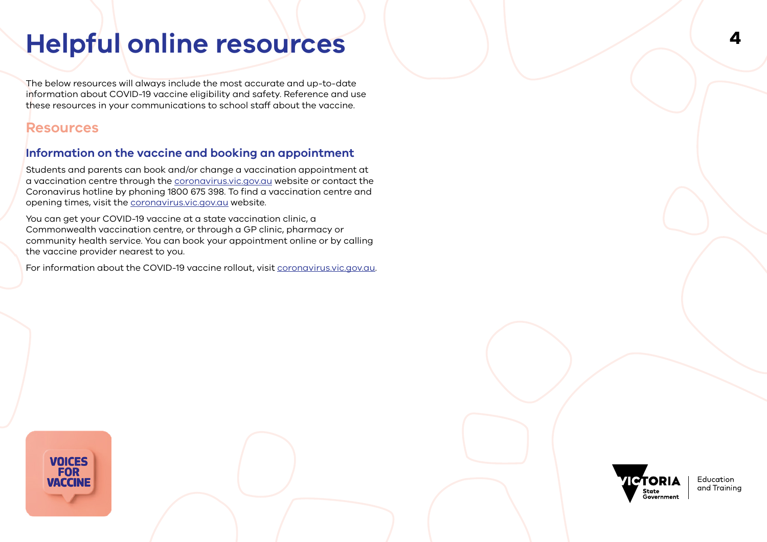## <span id="page-3-0"></span>**Helpful online resources**

The below resources will always include the most accurate and up-to-date information about COVID-19 vaccine eligibility and safety. Reference and use these resources in your communications to school staff about the vaccine.

## **Resources**

## **Information on the vaccine and booking an appointment**

Students and parents can book and/or change a vaccination appointment at a vaccination centre through the [coronavirus.vic.gov.au](https://www.coronavirus.vic.gov.au/book-your-vaccine-appointment) website or contact the Coronavirus hotline by phoning 1800 675 398. To find a vaccination centre and opening times, visit the [coronavirus.vic.gov.au](https://www.coronavirus.vic.gov.au/book-your-vaccine-appointment) website.

You can get your COVID-19 vaccine at a state vaccination clinic, a Commonwealth vaccination centre, or through a GP clinic, pharmacy or community health service. You can book your appointment online or by calling the vaccine provider nearest to you.

For information about the COVID-19 vaccine rollout, visit [coronavirus.vic.gov.au](https://www.coronavirus.vic.gov.au/vaccine).



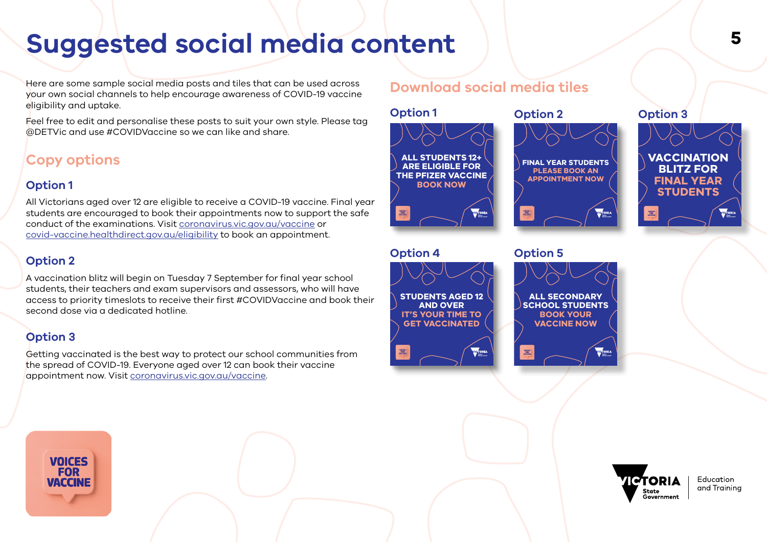## <span id="page-4-0"></span>**<sup>5</sup> Suggested social media content**

Here are some sample social media posts and tiles that can be used across your own social channels to help encourage awareness of COVID-19 vaccine eligibility and uptake.

Feel free to edit and personalise these posts to suit your own style. Please tag @DETVic and use #COVIDVaccine so we can like and share.

## **Copy options**

## **Option 1**

All Victorians aged over 12 are eligible to receive a COVID-19 vaccine. Final year students are encouraged to book their appointments now to support the safe conduct of the examinations. Visit [coronavirus.vic.gov.au/vaccine](https://www.coronavirus.vic.gov.au/vaccine) or [covid-vaccine.healthdirect.gov.au/eligibility](https://covid-vaccine.healthdirect.gov.au/eligibility) to book an appointment.

## **Option 2**

A vaccination blitz will begin on Tuesday 7 September for final year school students, their teachers and exam supervisors and assessors, who will have access to priority timeslots to receive their first #COVIDVaccine and book their second dose via a dedicated hotline.

## **Option 3**

Getting vaccinated is the best way to protect our school communities from the spread of COVID-19. Everyone aged over 12 can book their vaccine appointment now. Visit [coronavirus.vic.gov.au/vaccine.](https://www.coronavirus.vic.gov.au/vaccine )

## **Download social media tiles**





**ALL SECONDARY SCHOOL STUDENTS BOOK YOUR VACCINE NOW** 



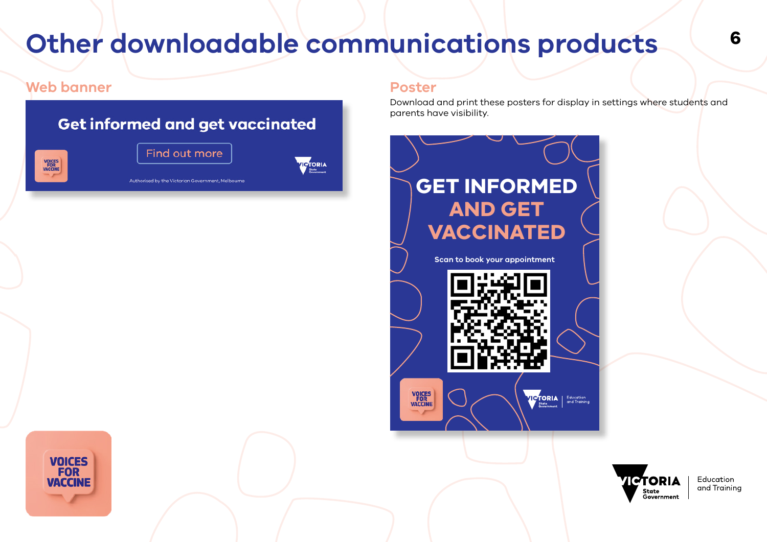## <span id="page-5-0"></span>**Other downloadable communications products <sup>6</sup>**

## **Web banner Poster**

**VOICES FOR** 

**VACCINE** 



Download and print these posters for display in settings where students and parents have visibility.



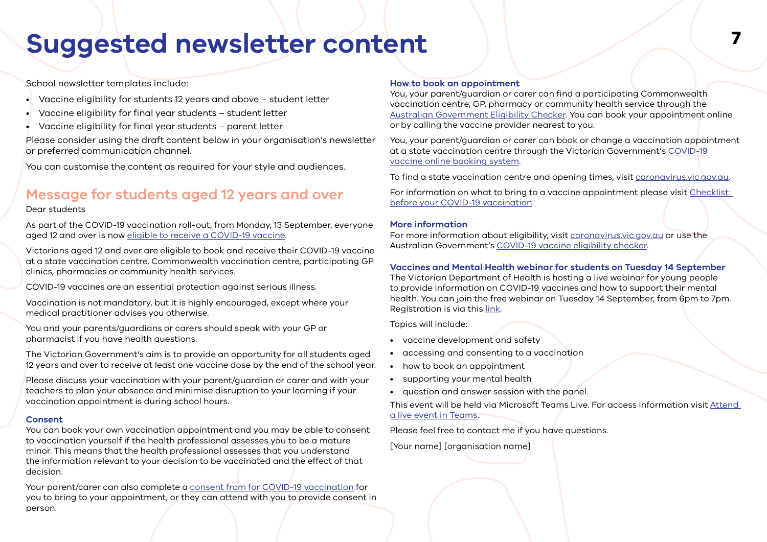## <span id="page-6-0"></span>**<sup>7</sup> Suggested newsletter content**

School newsletter templates include:

- Vaccine eligibility for students 12 years and above student letter
- Vaccine eligibility for final year students student letter
- Vaccine eligibility for final year students parent letter

Please consider using the draft content below in your organisation's newsletter or preferred communication channel.

You can customise the content as required for your style and audiences.

## **Message for students aged 12 years and over**

#### Dear students

As part of the COVID-19 vaccination roll-out, from Monday, 13 September, everyone aged 12 and over is now [eligible to receive a COVID-19 vaccine.](https://www.coronavirus.vic.gov.au/vaccine)

Victorians aged 12 and over are eligible to book and receive their COVID-19 vaccine at a state vaccination centre, Commonwealth vaccination centre, participating GP clinics, pharmacies or community health services.

COVID-19 vaccines are an essential protection against serious illness.

Vaccination is not mandatory, but it is highly encouraged, except where your medical practitioner advises you otherwise.

You and your parents/guardians or carers should speak with your GP or pharmacist if you have health questions.

The Victorian Government's aim is to provide an opportunity for all students aged 12 years and over to receive at least one vaccine dose by the end of the school year.

Please discuss your vaccination with your parent/guardian or carer and with your teachers to plan your absence and minimise disruption to your learning if your vaccination appointment is during school hours.

### **Consent**

You can book your own vaccination appointment and you may be able to consent to vaccination yourself if the health professional assesses you to be a mature minor. This means that the health professional assesses that you understand the information relevant to your decision to be vaccinated and the effect of that decision.

Your parent/carer can also complete a [consent from for COVID-19 vaccination](https://www.health.gov.au/resources/publications/covid-19-vaccination-consent-form-for-covid-19-vaccination) for you to bring to your appointment, or they can attend with you to provide consent in person.

### **How to book an appointment**

You, your parent/guardian or carer can find a participating Commonwealth vaccination centre, GP, pharmacy or community health service through the [Australian Government Eligibility Checker.](https://covid-vaccine.healthdirect.gov.au/eligibility?lang=en) You can book your appointment online or by calling the vaccine provider nearest to you.

You, your parent/guardian or carer can book or change a vaccination appointment at a state vaccination centre through the Victorian Government's [COVID-19](https://cvms.powerappsportals.com/)  [vaccine online booking system.](https://cvms.powerappsportals.com/)

To find a state vaccination centre and opening times, visit [coronavirus.vic.gov.au.](https://www.coronavirus.vic.gov.au/book-your-vaccine-appointment)

For information on what to bring to a vaccine appointment please visit [Checklist:](https://www.coronavirus.vic.gov.au/checklist-your-covid-19-vaccination)  [before your COVID-19 vaccination](https://www.coronavirus.vic.gov.au/checklist-your-covid-19-vaccination).

### **More information**

For more information about eligibility, visit [coronavirus.vic.gov.au](https://www.coronavirus.vic.gov.au/who-can-get-vaccinated) or use the Australian Government's [COVID-19 vaccine eligibility checker.](https://covid-vaccine.healthdirect.gov.au/eligibility?lang=en)

## **Vaccines and Mental Health webinar for students on Tuesday 14 September**

The Victorian Department of Health is hosting a live webinar for young people to provide information on COVID-19 vaccines and how to support their mental health. You can join the free webinar on Tuesday 14 September, from 6pm to 7pm. Registration is via this [link](https://www.eventbrite.com.au/e/covid-19-vaccines-webinar-your-questions-answered-for-young-people-tickets-169227446849).

Topics will include:

- vaccine development and safety
- accessing and consenting to a vaccination
- how to book an appointment
- supporting your mental health
- question and answer session with the panel.

This event will be held via Microsoft Teams Live. For access information visit [Attend](https://support.microsoft.com/en-us/office/attend-a-live-event-in-teams-a1c7b989-ebb1-4479-b750-c86c9bc98d84?utm_source=email+marketing+Mailigen&utm_campaign=direct+send+-+emergency++-+schools&utm_medium=email)  [a live event in Teams](https://support.microsoft.com/en-us/office/attend-a-live-event-in-teams-a1c7b989-ebb1-4479-b750-c86c9bc98d84?utm_source=email+marketing+Mailigen&utm_campaign=direct+send+-+emergency++-+schools&utm_medium=email).

Please feel free to contact me if you have questions.

[Your name] [organisation name]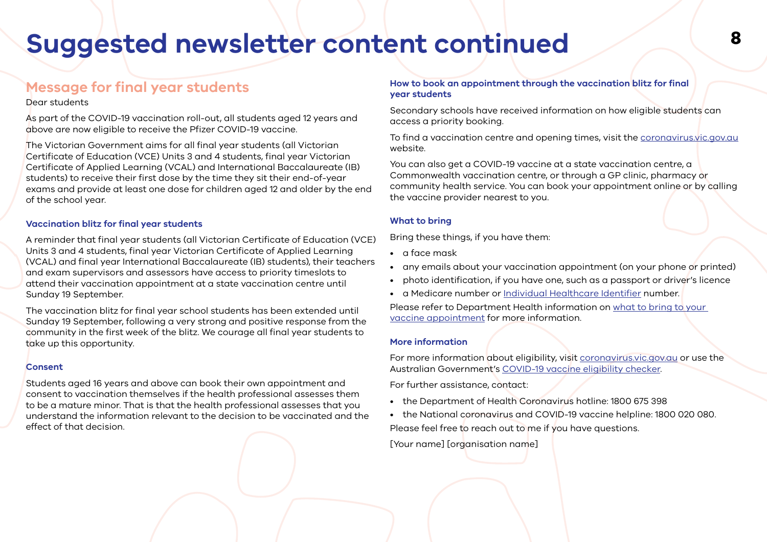## **<sup>8</sup> Suggested newsletter content continued**

## **Message for final year students**

### Dear students

As part of the COVID-19 vaccination roll-out, all students aged 12 years and above are now eligible to receive the Pfizer COVID-19 vaccine.

The Victorian Government aims for all final year students (all Victorian Certificate of Education (VCE) Units 3 and 4 students, final year Victorian Certificate of Applied Learning (VCAL) and International Baccalaureate (IB) students) to receive their first dose by the time they sit their end-of-year exams and provide at least one dose for children aged 12 and older by the end of the school year.

## **Vaccination blitz for final year students**

A reminder that final year students (all Victorian Certificate of Education (VCE) Units 3 and 4 students, final year Victorian Certificate of Applied Learning (VCAL) and final year International Baccalaureate (IB) students), their teachers and exam supervisors and assessors have access to priority timeslots to attend their vaccination appointment at a state vaccination centre until Sunday 19 September.

The vaccination blitz for final year school students has been extended until Sunday 19 September, following a very strong and positive response from the community in the first week of the blitz. We courage all final year students to take up this opportunity.

### **Consent**

Students aged 16 years and above can book their own appointment and consent to vaccination themselves if the health professional assesses them to be a mature minor. That is that the health professional assesses that you understand the information relevant to the decision to be vaccinated and the effect of that decision.

### **How to book an appointment through the vaccination blitz for final year students**

Secondary schools have received information on how eligible students can access a priority booking.

To find a vaccination centre and opening times, visit the [coronavirus.vic.gov.au](https://www.coronavirus.vic.gov.au/book-your-vaccine-appointment) website.

You can also get a COVID-19 vaccine at a state vaccination centre, a Commonwealth vaccination centre, or through a GP clinic, pharmacy or community health service. You can book your appointment online or by calling the vaccine provider nearest to you.

### **What to bring**

Bring these things, if you have them:

- a face mask
- any emails about your vaccination appointment (on your phone or printed)
- photo identification, if you have one, such as a passport or driver's licence
- a Medicare number or [Individual Healthcare Identifier](https://www.servicesaustralia.gov.au/individuals/services/medicare/individual-healthcare-identifiers/how-get-ihi) number.

Please refer to Department Health information on [what to bring to your](https://www.coronavirus.vic.gov.au/checklist-your-covid-19-vaccination)  [vaccine appointment](https://www.coronavirus.vic.gov.au/checklist-your-covid-19-vaccination) for more information.

### **More information**

For more information about eligibility, visit [coronavirus.vic.gov.au](https://www.coronavirus.vic.gov.au/who-can-get-vaccinated) or use the Australian Government's [COVID-19 vaccine eligibility checker.](https://covid-vaccine.healthdirect.gov.au/eligibility)

For further assistance, contact:

- the Department of Health Coronavirus hotline: 1800 675 398
- the National coronavirus and COVID-19 vaccine helpline: 1800 020 080. Please feel free to reach out to me if you have questions.

[Your name] [organisation name]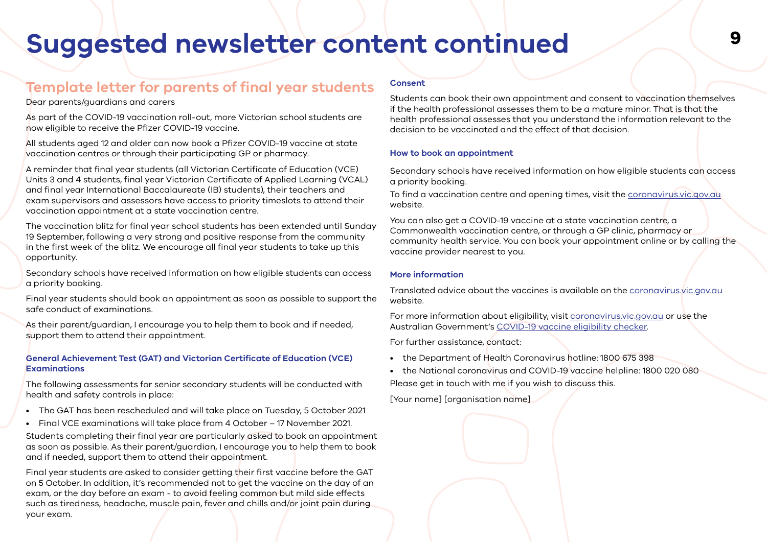## **<sup>9</sup> Suggested newsletter content continued**

## **Template letter for parents of final year students**

#### Dear parents/guardians and carers

As part of the COVID-19 vaccination roll-out, more Victorian school students are now eligible to receive the Pfizer COVID-19 vaccine.

All students aged 12 and older can now book a Pfizer COVID-19 vaccine at state vaccination centres or through their participating GP or pharmacy.

A reminder that final year students (all Victorian Certificate of Education (VCE) Units 3 and 4 students, final year Victorian Certificate of Applied Learning (VCAL) and final year International Baccalaureate (IB) students), their teachers and exam supervisors and assessors have access to priority timeslots to attend their vaccination appointment at a state vaccination centre.

The vaccination blitz for final year school students has been extended until Sunday 19 September, following a very strong and positive response from the community in the first week of the blitz. We encourage all final year students to take up this opportunity.

Secondary schools have received information on how eligible students can access a priority booking.

Final year students should book an appointment as soon as possible to support the safe conduct of examinations.

As their parent/guardian, I encourage you to help them to book and if needed, support them to attend their appointment.

#### **General Achievement Test (GAT) and Victorian Certificate of Education (VCE) Examinations**

The following assessments for senior secondary students will be conducted with health and safety controls in place:

- The GAT has been rescheduled and will take place on Tuesday, 5 October 2021
- Final VCE examinations will take place from 4 October 17 November 2021.

Students completing their final year are particularly asked to book an appointment as soon as possible. As their parent/guardian, I encourage you to help them to book and if needed, support them to attend their appointment.

Final year students are asked to consider getting their first vaccine before the GAT on 5 October. In addition, it's recommended not to get the vaccine on the day of an exam, or the day before an exam - to avoid feeling common but mild side effects such as tiredness, headache, muscle pain, fever and chills and/or joint pain during your exam.

#### **Consent**

Students can book their own appointment and consent to vaccination themselves if the health professional assesses them to be a mature minor. That is that the health professional assesses that you understand the information relevant to the decision to be vaccinated and the effect of that decision.

#### **How to book an appointment**

Secondary schools have received information on how eligible students can access a priority booking.

To find a vaccination centre and opening times, visit the [coronavirus.vic.gov.au](https://www.coronavirus.vic.gov.au/book-your-vaccine-appointment) website.

You can also get a COVID-19 vaccine at a state vaccination centre, a Commonwealth vaccination centre, or through a GP clinic, pharmacy or community health service. You can book your appointment online or by calling the vaccine provider nearest to you.

#### **More information**

Translated advice about the vaccines is available on the [coronavirus.vic.gov.au](https://www.coronavirus.vic.gov.au/translated-information-about-covid-19-vaccines) website.

For more information about eligibility, visit [coronavirus.vic.gov.au](https://www.coronavirus.vic.gov.au/who-can-get-vaccinated) or use the Australian Government's [COVID-19 vaccine eligibility checker.](https://covid-vaccine.healthdirect.gov.au/eligibility)

For further assistance, contact:

- the Department of Health Coronavirus hotline: 1800 675 398
- the National coronavirus and COVID-19 vaccine helpline: 1800 020 080 Please get in touch with me if you wish to discuss this.

[Your name] [organisation name]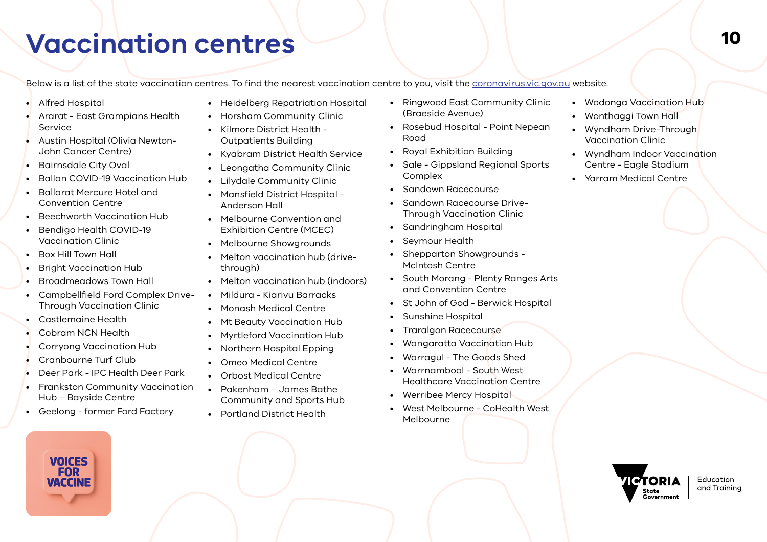## <span id="page-9-0"></span>**Vaccination centres <sup>10</sup>**

Below is a list of the state vaccination centres. To find the nearest vaccination centre to you, visit the [coronavirus.vic.gov.au](https://www.coronavirus.vic.gov.au/vaccination-centres) website.

- Alfred Hospital
- Ararat East Grampians Health Service
- Austin Hospital (Olivia Newton-John Cancer Centre)
- Bairnsdale City Oval
- Ballan COVID-19 Vaccination Hub
- Ballarat Mercure Hotel and Convention Centre
- Beechworth Vaccination Hub
- Bendigo Health COVID-19 Vaccination Clinic
- Box Hill Town Hall
- Bright Vaccination Hub
- Broadmeadows Town Hall
- Campbellfield Ford Complex Drive-Through Vaccination Clinic
- Castlemaine Health
- Cobram NCN Health
- Corryong Vaccination Hub
- Cranbourne Turf Club
- Deer Park IPC Health Deer Park
- Frankston Community Vaccination Hub – Bayside Centre
- Geelong former Ford Factory



- Heidelberg Repatriation Hospital
- Horsham Community Clinic
- Kilmore District Health Outpatients Building
- Kyabram District Health Service
- Leongatha Community Clinic
- Lilydale Community Clinic
- Mansfield District Hospital Anderson Hall
- Melbourne Convention and Exhibition Centre (MCEC)
- Melbourne Showgrounds
- Melton vaccination hub (drivethrough)
- Melton vaccination hub (indoors)
- Mildura Kiarivu Barracks
- Monash Medical Centre
- Mt Beauty Vaccination Hub
- Myrtleford Vaccination Hub
- Northern Hospital Epping
- Omeo Medical Centre
- Orbost Medical Centre
- Pakenham James Bathe Community and Sports Hub
- Portland District Health
- Ringwood East Community Clinic (Braeside Avenue)
- Rosebud Hospital Point Nepean Road
- Royal Exhibition Building
- Sale Gippsland Regional Sports **Complex**
- Sandown Racecourse
- Sandown Racecourse Drive-Through Vaccination Clinic
- Sandringham Hospital
- Seymour Health
- Shepparton Showgrounds McIntosh Centre
- South Morang Plenty Ranges Arts and Convention Centre
- St John of God Berwick Hospital
- Sunshine Hospital
- Traralgon Racecourse
- Wangaratta Vaccination Hub
- Warragul The Goods Shed
- Warrnambool South West Healthcare Vaccination Centre
- Werribee Mercy Hospital
- West Melbourne CoHealth West Melbourne



- Wonthaggi Town Hall
- Wyndham Drive-Through Vaccination Clinic
- Wyndham Indoor Vaccination Centre - Eagle Stadium
- Yarram Medical Centre

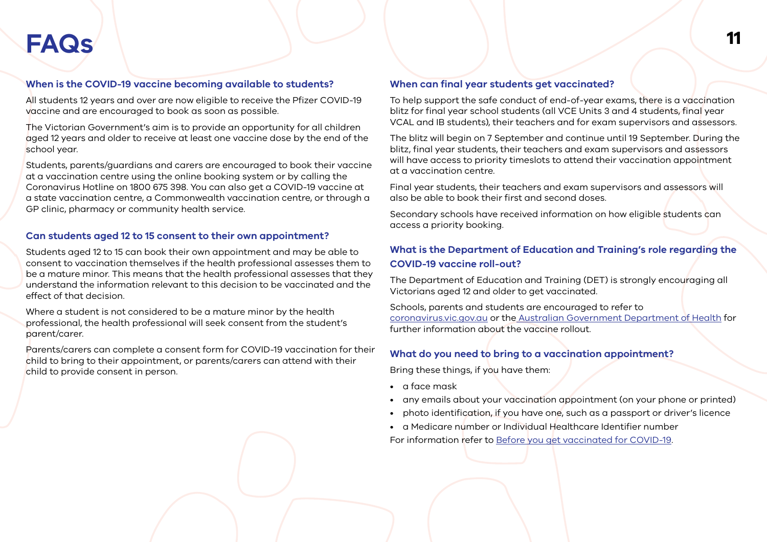## <span id="page-10-0"></span>**<sup>11</sup> FAQs**

## **When is the COVID-19 vaccine becoming available to students?**

All students 12 years and over are now eligible to receive the Pfizer COVID-19 vaccine and are encouraged to book as soon as possible.

The Victorian Government's aim is to provide an opportunity for all children aged 12 years and older to receive at least one vaccine dose by the end of the school year.

Students, parents/guardians and carers are encouraged to book their vaccine at a vaccination centre using the online booking system or by calling the Coronavirus Hotline on 1800 675 398. You can also get a COVID-19 vaccine at a state vaccination centre, a Commonwealth vaccination centre, or through a GP clinic, pharmacy or community health service.

## **Can students aged 12 to 15 consent to their own appointment?**

Students aged 12 to 15 can book their own appointment and may be able to consent to vaccination themselves if the health professional assesses them to be a mature minor. This means that the health professional assesses that they understand the information relevant to this decision to be vaccinated and the effect of that decision.

Where a student is not considered to be a mature minor by the health professional, the health professional will seek consent from the student's parent/carer.

Parents/carers can complete a consent form for COVID-19 vaccination for their child to bring to their appointment, or parents/carers can attend with their child to provide consent in person.

### **When can final year students get vaccinated?**

To help support the safe conduct of end-of-year exams, there is a vaccination blitz for final year school students (all VCE Units 3 and 4 students, final year VCAL and IB students), their teachers and for exam supervisors and assessors.

The blitz will begin on 7 September and continue until 19 September. During the blitz, final year students, their teachers and exam supervisors and assessors will have access to priority timeslots to attend their vaccination appointment at a vaccination centre.

Final year students, their teachers and exam supervisors and assessors will also be able to book their first and second doses.

Secondary schools have received information on how eligible students can access a priority booking.

## **What is the Department of Education and Training's role regarding the COVID-19 vaccine roll-out?**

The Department of Education and Training (DET) is strongly encouraging all Victorians aged 12 and older to get vaccinated.

Schools, parents and students are encouraged to refer to [coronavirus.vic.gov.au](https://www.coronavirus.vic.gov.au/) or the [Australian Government Department of Health](https://www.health.gov.au/) for further information about the vaccine rollout.

## **What do you need to bring to a vaccination appointment?**

Bring these things, if you have them:

- a face mask
- any emails about your vaccination appointment (on your phone or printed)
- photo identification, if you have one, such as a passport or driver's licence
- a Medicare number or Individual Healthcare Identifier number

For information refer to [Before you get vaccinated for COVID-19](https://www.coronavirus.vic.gov.au/checklist-your-covid-19-vaccination#what-to-bring-with-you-to-your-vaccine-appointment).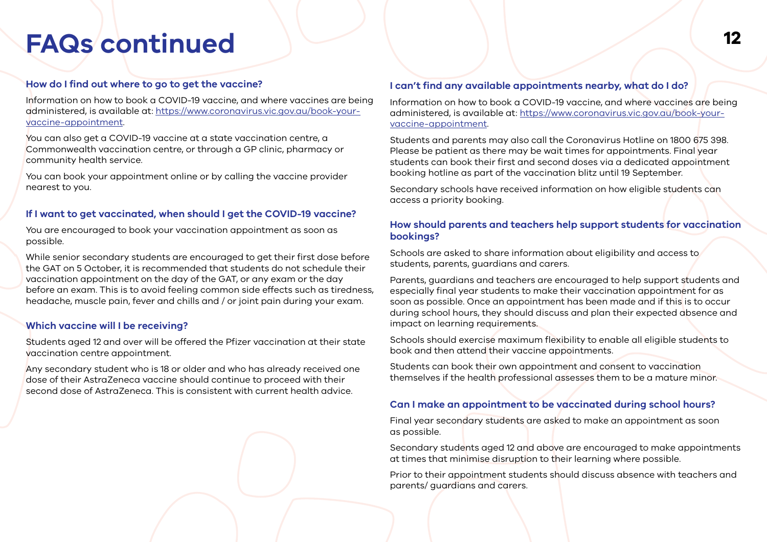## **<sup>12</sup> FAQs continued**

## **How do I find out where to go to get the vaccine?**

Information on how to book a COVID-19 vaccine, and where vaccines are being administered, is available at: [https://www.coronavirus.vic.gov.au/book-your](https://www.coronavirus.vic.gov.au/book-your-vaccine-appointment)[vaccine-appointment.](https://www.coronavirus.vic.gov.au/book-your-vaccine-appointment)

You can also get a COVID-19 vaccine at a state vaccination centre, a Commonwealth vaccination centre, or through a GP clinic, pharmacy or community health service.

You can book your appointment online or by calling the vaccine provider nearest to you.

### **If I want to get vaccinated, when should I get the COVID-19 vaccine?**

You are encouraged to book your vaccination appointment as soon as possible.

While senior secondary students are encouraged to get their first dose before the GAT on 5 October, it is recommended that students do not schedule their vaccination appointment on the day of the GAT, or any exam or the day before an exam. This is to avoid feeling common side effects such as tiredness, headache, muscle pain, fever and chills and / or joint pain during your exam.

## **Which vaccine will I be receiving?**

Students aged 12 and over will be offered the Pfizer vaccination at their state vaccination centre appointment.

Any secondary student who is 18 or older and who has already received one dose of their AstraZeneca vaccine should continue to proceed with their second dose of AstraZeneca. This is consistent with current health advice.

## **I can't find any available appointments nearby, what do I do?**

Information on how to book a COVID-19 vaccine, and where vaccines are being administered, is available at: [https://www.coronavirus.vic.gov.au/book-your](https://www.coronavirus.vic.gov.au/book-your-vaccine-appointment)[vaccine-appointment.](https://www.coronavirus.vic.gov.au/book-your-vaccine-appointment)

Students and parents may also call the Coronavirus Hotline on 1800 675 398. Please be patient as there may be wait times for appointments. Final year students can book their first and second doses via a dedicated appointment booking hotline as part of the vaccination blitz until 19 September.

Secondary schools have received information on how eligible students can access a priority booking.

## **How should parents and teachers help support students for vaccination bookings?**

Schools are asked to share information about eligibility and access to students, parents, guardians and carers.

Parents, guardians and teachers are encouraged to help support students and especially final year students to make their vaccination appointment for as soon as possible. Once an appointment has been made and if this is to occur during school hours, they should discuss and plan their expected absence and impact on learning requirements.

Schools should exercise maximum flexibility to enable all eligible students to book and then attend their vaccine appointments.

Students can book their own appointment and consent to vaccination themselves if the health professional assesses them to be a mature minor.

## **Can I make an appointment to be vaccinated during school hours?**

Final year secondary students are asked to make an appointment as soon as possible.

Secondary students aged 12 and above are encouraged to make appointments at times that minimise disruption to their learning where possible.

Prior to their appointment students should discuss absence with teachers and parents/ guardians and carers.